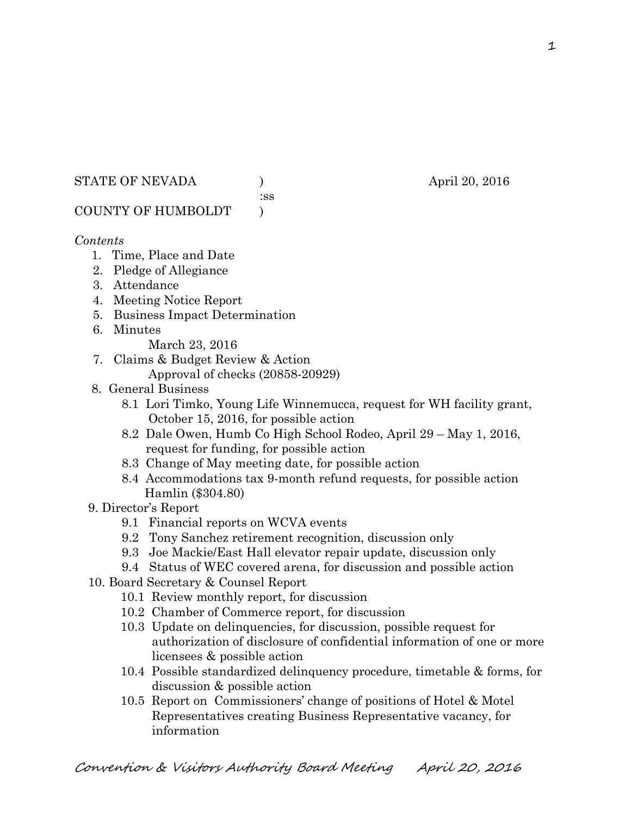#### STATE OF NEVADA (a) (b) april 20, 2016

:ss

# COUNTY OF HUMBOLDT )

#### *Contents*

- 1. Time, Place and Date
- 2. Pledge of Allegiance
- 3. Attendance
- 4. Meeting Notice Report
- 5. Business Impact Determination
- 6. Minutes
	- March 23, 2016
- 7. Claims & Budget Review & Action Approval of checks (20858-20929)
- 8. General Business
	- 8.1 Lori Timko, Young Life Winnemucca, request for WH facility grant, October 15, 2016, for possible action
	- 8.2 Dale Owen, Humb Co High School Rodeo, April 29 May 1, 2016, request for funding, for possible action
	- 8.3 Change of May meeting date, for possible action
	- 8.4 Accommodations tax 9-month refund requests, for possible action Hamlin (\$304.80)
- 9. Director's Report
	- 9.1 Financial reports on WCVA events
	- 9.2 Tony Sanchez retirement recognition, discussion only
	- 9.3 Joe Mackie/East Hall elevator repair update, discussion only
	- 9.4 Status of WEC covered arena, for discussion and possible action
- 10. Board Secretary & Counsel Report
	- 10.1 Review monthly report, for discussion
	- 10.2 Chamber of Commerce report, for discussion
	- 10.3 Update on delinquencies, for discussion, possible request for authorization of disclosure of confidential information of one or more licensees & possible action
	- 10.4 Possible standardized delinquency procedure, timetable & forms, for discussion & possible action
	- 10.5 Report on Commissioners' change of positions of Hotel & Motel Representatives creating Business Representative vacancy, for information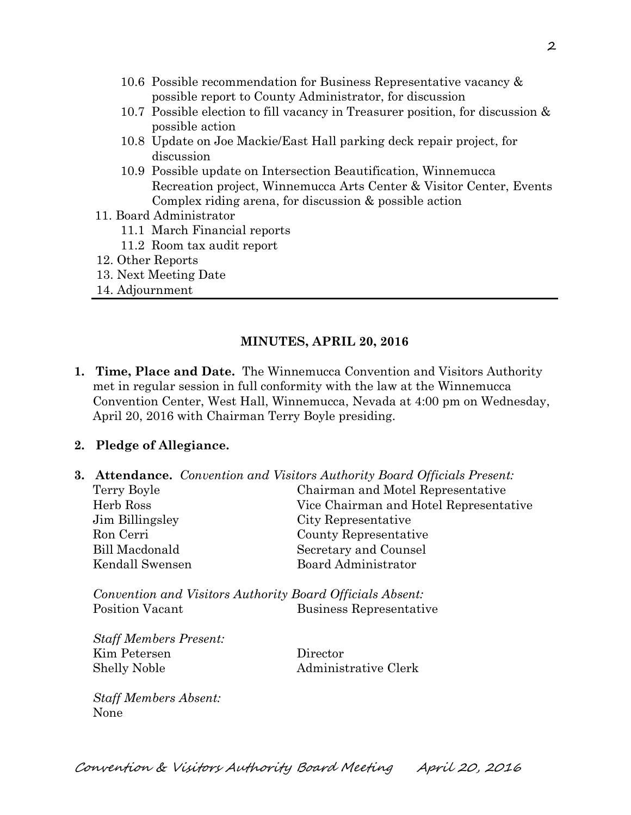- 10.6 Possible recommendation for Business Representative vacancy & possible report to County Administrator, for discussion
- 10.7 Possible election to fill vacancy in Treasurer position, for discussion & possible action
- 10.8 Update on Joe Mackie/East Hall parking deck repair project, for discussion
- 10.9 Possible update on Intersection Beautification, Winnemucca Recreation project, Winnemucca Arts Center & Visitor Center, Events Complex riding arena, for discussion & possible action
- 11. Board Administrator
	- 11.1 March Financial reports
	- 11.2 Room tax audit report
- 12. Other Reports
- 13. Next Meeting Date
- 14. Adjournment

## **MINUTES, APRIL 20, 2016**

**1. Time, Place and Date.** The Winnemucca Convention and Visitors Authority met in regular session in full conformity with the law at the Winnemucca Convention Center, West Hall, Winnemucca, Nevada at 4:00 pm on Wednesday, April 20, 2016 with Chairman Terry Boyle presiding.

## **2. Pledge of Allegiance.**

**3. Attendance.** *Convention and Visitors Authority Board Officials Present:*  Terry Boyle Chairman and Motel Representative Herb Ross Vice Chairman and Hotel Representative Jim Billingsley City Representative Ron Cerri County Representative Bill Macdonald Secretary and Counsel Kendall Swensen Board Administrator

*Convention and Visitors Authority Board Officials Absent:*  Position Vacant Business Representative

*Staff Members Present:*  Kim Petersen Director Shelly Noble Administrative Clerk

*Staff Members Absent:*  None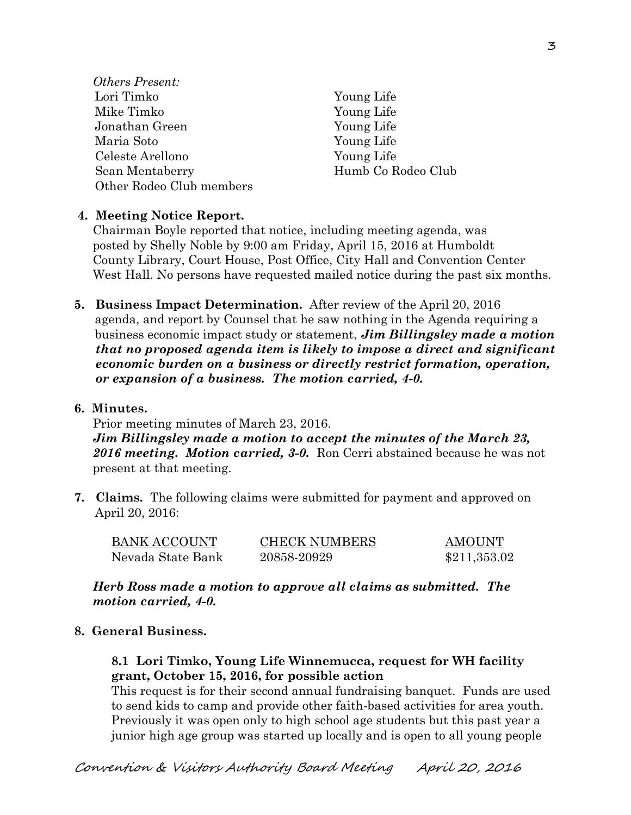- *Others Present:*  Lori Timko Young Life Mike Timko Young Life Jonathan Green Young Life Maria Soto Young Life Celeste Arellono Young Life Sean Mentaberry Humb Co Rodeo Club Other Rodeo Club members
	-

## **4. Meeting Notice Report.**

Chairman Boyle reported that notice, including meeting agenda, was posted by Shelly Noble by 9:00 am Friday, April 15, 2016 at Humboldt County Library, Court House, Post Office, City Hall and Convention Center West Hall. No persons have requested mailed notice during the past six months.

**5. Business Impact Determination.** After review of the April 20, 2016 agenda, and report by Counsel that he saw nothing in the Agenda requiring a business economic impact study or statement, *Jim Billingsley made a motion that no proposed agenda item is likely to impose a direct and significant economic burden on a business or directly restrict formation, operation, or expansion of a business. The motion carried, 4-0.* 

## **6. Minutes.**

Prior meeting minutes of March 23, 2016. *Jim Billingsley made a motion to accept the minutes of the March 23, 2016 meeting. Motion carried, 3-0.* Ron Cerri abstained because he was not present at that meeting.

**7. Claims.** The following claims were submitted for payment and approved on April 20, 2016:

| <b>BANK ACCOUNT</b> | <b>CHECK NUMBERS</b> | <b>AMOUNT</b> |
|---------------------|----------------------|---------------|
| Nevada State Bank   | 20858-20929          | \$211,353.02  |

*Herb Ross made a motion to approve all claims as submitted. The motion carried, 4-0.* 

## **8. General Business.**

## **8.1 Lori Timko, Young Life Winnemucca, request for WH facility grant, October 15, 2016, for possible action**

This request is for their second annual fundraising banquet. Funds are used to send kids to camp and provide other faith-based activities for area youth. Previously it was open only to high school age students but this past year a junior high age group was started up locally and is open to all young people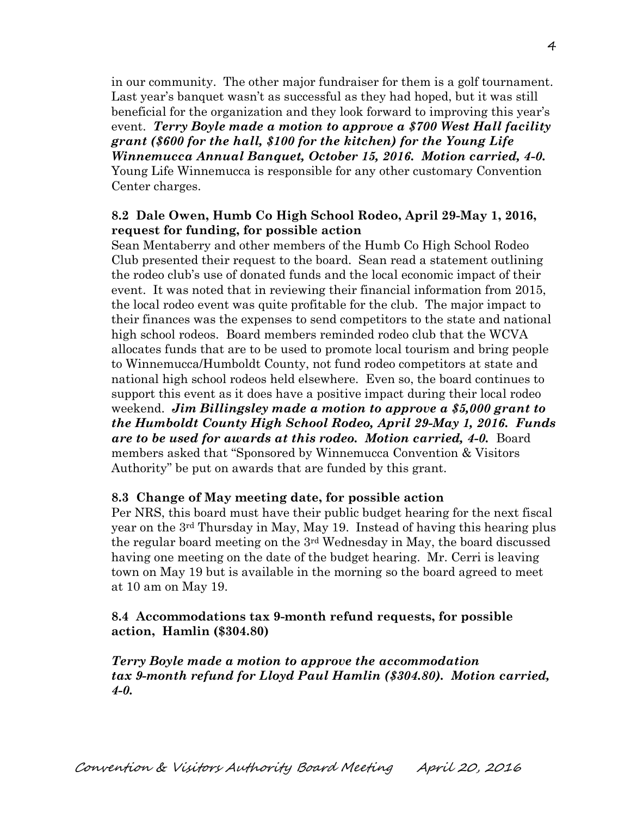in our community. The other major fundraiser for them is a golf tournament. Last year's banquet wasn't as successful as they had hoped, but it was still beneficial for the organization and they look forward to improving this year's event. *Terry Boyle made a motion to approve a \$700 West Hall facility grant (\$600 for the hall, \$100 for the kitchen) for the Young Life Winnemucca Annual Banquet, October 15, 2016. Motion carried, 4-0.*  Young Life Winnemucca is responsible for any other customary Convention Center charges.

## **8.2 Dale Owen, Humb Co High School Rodeo, April 29-May 1, 2016, request for funding, for possible action**

Sean Mentaberry and other members of the Humb Co High School Rodeo Club presented their request to the board. Sean read a statement outlining the rodeo club's use of donated funds and the local economic impact of their event. It was noted that in reviewing their financial information from 2015, the local rodeo event was quite profitable for the club. The major impact to their finances was the expenses to send competitors to the state and national high school rodeos. Board members reminded rodeo club that the WCVA allocates funds that are to be used to promote local tourism and bring people to Winnemucca/Humboldt County, not fund rodeo competitors at state and national high school rodeos held elsewhere. Even so, the board continues to support this event as it does have a positive impact during their local rodeo weekend. *Jim Billingsley made a motion to approve a \$5,000 grant to the Humboldt County High School Rodeo, April 29-May 1, 2016. Funds are to be used for awards at this rodeo. Motion carried, 4-0.* Board members asked that "Sponsored by Winnemucca Convention & Visitors Authority" be put on awards that are funded by this grant.

#### **8.3 Change of May meeting date, for possible action**

 Per NRS, this board must have their public budget hearing for the next fiscal year on the 3rd Thursday in May, May 19. Instead of having this hearing plus the regular board meeting on the 3rd Wednesday in May, the board discussed having one meeting on the date of the budget hearing. Mr. Cerri is leaving town on May 19 but is available in the morning so the board agreed to meet at 10 am on May 19.

## **8.4 Accommodations tax 9-month refund requests, for possible action, Hamlin (\$304.80)**

*Terry Boyle made a motion to approve the accommodation tax 9-month refund for Lloyd Paul Hamlin (\$304.80). Motion carried, 4-0.*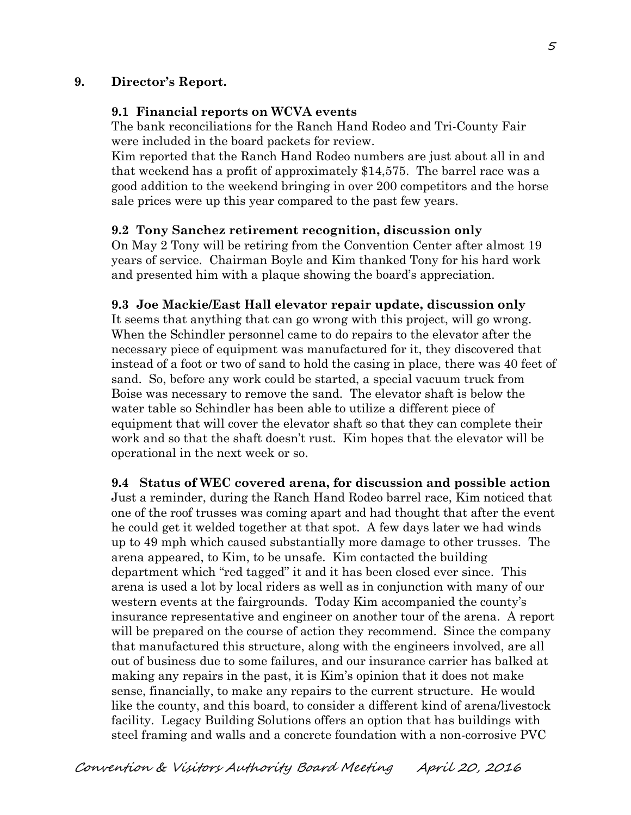## **9. Director's Report.**

#### **9.1 Financial reports on WCVA events**

The bank reconciliations for the Ranch Hand Rodeo and Tri-County Fair were included in the board packets for review.

Kim reported that the Ranch Hand Rodeo numbers are just about all in and that weekend has a profit of approximately \$14,575. The barrel race was a good addition to the weekend bringing in over 200 competitors and the horse sale prices were up this year compared to the past few years.

#### **9.2 Tony Sanchez retirement recognition, discussion only**

On May 2 Tony will be retiring from the Convention Center after almost 19 years of service. Chairman Boyle and Kim thanked Tony for his hard work and presented him with a plaque showing the board's appreciation.

#### **9.3 Joe Mackie/East Hall elevator repair update, discussion only**

It seems that anything that can go wrong with this project, will go wrong. When the Schindler personnel came to do repairs to the elevator after the necessary piece of equipment was manufactured for it, they discovered that instead of a foot or two of sand to hold the casing in place, there was 40 feet of sand. So, before any work could be started, a special vacuum truck from Boise was necessary to remove the sand. The elevator shaft is below the water table so Schindler has been able to utilize a different piece of equipment that will cover the elevator shaft so that they can complete their work and so that the shaft doesn't rust. Kim hopes that the elevator will be operational in the next week or so.

**9.4 Status of WEC covered arena, for discussion and possible action**  Just a reminder, during the Ranch Hand Rodeo barrel race, Kim noticed that one of the roof trusses was coming apart and had thought that after the event he could get it welded together at that spot. A few days later we had winds up to 49 mph which caused substantially more damage to other trusses. The arena appeared, to Kim, to be unsafe. Kim contacted the building department which "red tagged" it and it has been closed ever since. This arena is used a lot by local riders as well as in conjunction with many of our western events at the fairgrounds. Today Kim accompanied the county's insurance representative and engineer on another tour of the arena. A report will be prepared on the course of action they recommend. Since the company that manufactured this structure, along with the engineers involved, are all out of business due to some failures, and our insurance carrier has balked at making any repairs in the past, it is Kim's opinion that it does not make sense, financially, to make any repairs to the current structure. He would like the county, and this board, to consider a different kind of arena/livestock facility. Legacy Building Solutions offers an option that has buildings with steel framing and walls and a concrete foundation with a non-corrosive PVC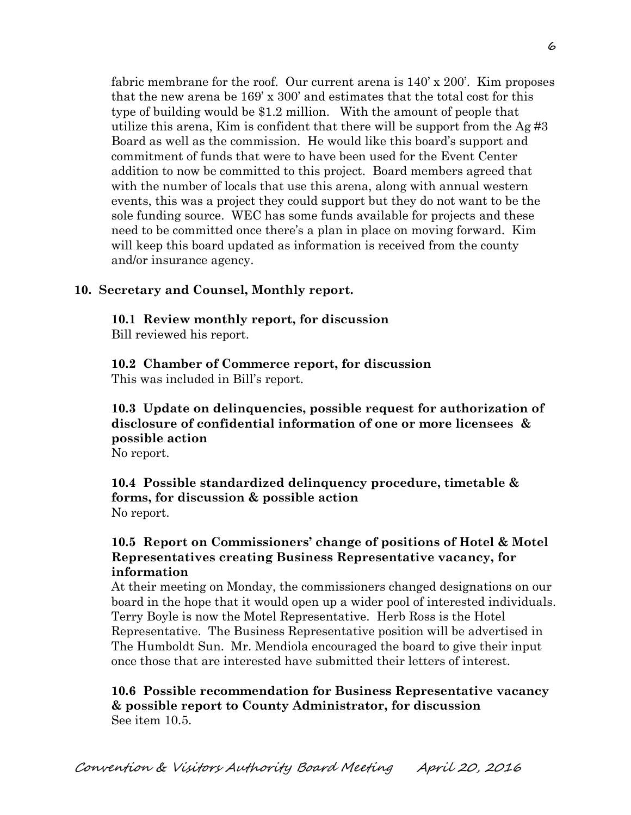fabric membrane for the roof. Our current arena is  $140' \times 200'$ . Kim proposes that the new arena be 169' x 300' and estimates that the total cost for this type of building would be \$1.2 million. With the amount of people that utilize this arena, Kim is confident that there will be support from the  $\text{Ag} \#3$ Board as well as the commission. He would like this board's support and commitment of funds that were to have been used for the Event Center addition to now be committed to this project. Board members agreed that with the number of locals that use this arena, along with annual western events, this was a project they could support but they do not want to be the sole funding source. WEC has some funds available for projects and these need to be committed once there's a plan in place on moving forward. Kim will keep this board updated as information is received from the county and/or insurance agency.

#### **10. Secretary and Counsel, Monthly report.**

**10.1 Review monthly report, for discussion** 

Bill reviewed his report.

**10.2 Chamber of Commerce report, for discussion**  This was included in Bill's report.

## **10.3 Update on delinquencies, possible request for authorization of disclosure of confidential information of one or more licensees & possible action**

No report.

**10.4 Possible standardized delinquency procedure, timetable & forms, for discussion & possible action**  No report.

## **10.5 Report on Commissioners' change of positions of Hotel & Motel Representatives creating Business Representative vacancy, for information**

At their meeting on Monday, the commissioners changed designations on our board in the hope that it would open up a wider pool of interested individuals. Terry Boyle is now the Motel Representative. Herb Ross is the Hotel Representative. The Business Representative position will be advertised in The Humboldt Sun. Mr. Mendiola encouraged the board to give their input once those that are interested have submitted their letters of interest.

**10.6 Possible recommendation for Business Representative vacancy & possible report to County Administrator, for discussion**  See item 10.5.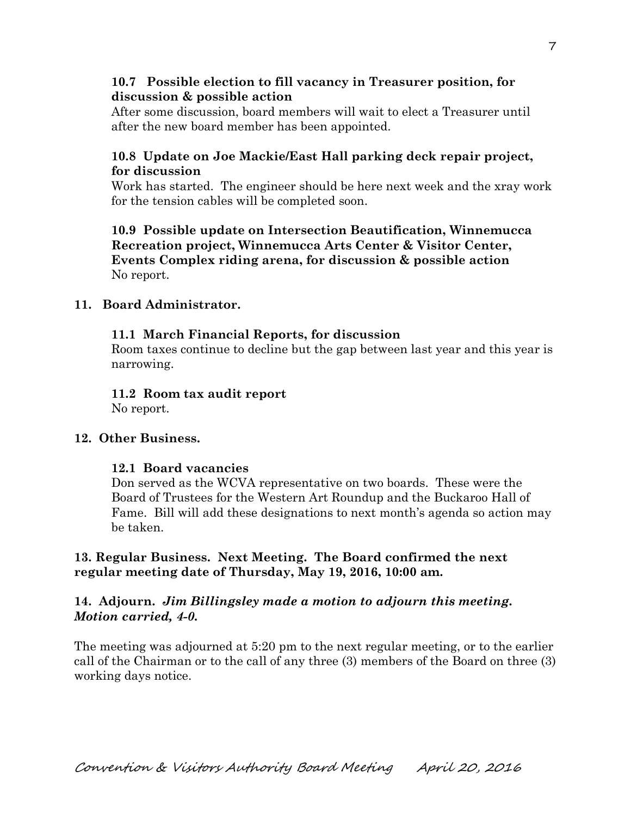## **10.7 Possible election to fill vacancy in Treasurer position, for discussion & possible action**

After some discussion, board members will wait to elect a Treasurer until after the new board member has been appointed.

## **10.8 Update on Joe Mackie/East Hall parking deck repair project, for discussion**

Work has started. The engineer should be here next week and the xray work for the tension cables will be completed soon.

**10.9 Possible update on Intersection Beautification, Winnemucca Recreation project, Winnemucca Arts Center & Visitor Center, Events Complex riding arena, for discussion & possible action**  No report.

## **11. Board Administrator.**

## **11.1 March Financial Reports, for discussion**

Room taxes continue to decline but the gap between last year and this year is narrowing.

# **11.2 Room tax audit report**

No report.

## **12. Other Business.**

## **12.1 Board vacancies**

Don served as the WCVA representative on two boards. These were the Board of Trustees for the Western Art Roundup and the Buckaroo Hall of Fame. Bill will add these designations to next month's agenda so action may be taken.

## **13. Regular Business. Next Meeting. The Board confirmed the next regular meeting date of Thursday, May 19, 2016, 10:00 am.**

## **14. Adjourn.** *Jim Billingsley made a motion to adjourn this meeting. Motion carried, 4-0.*

The meeting was adjourned at 5:20 pm to the next regular meeting, or to the earlier call of the Chairman or to the call of any three (3) members of the Board on three (3) working days notice.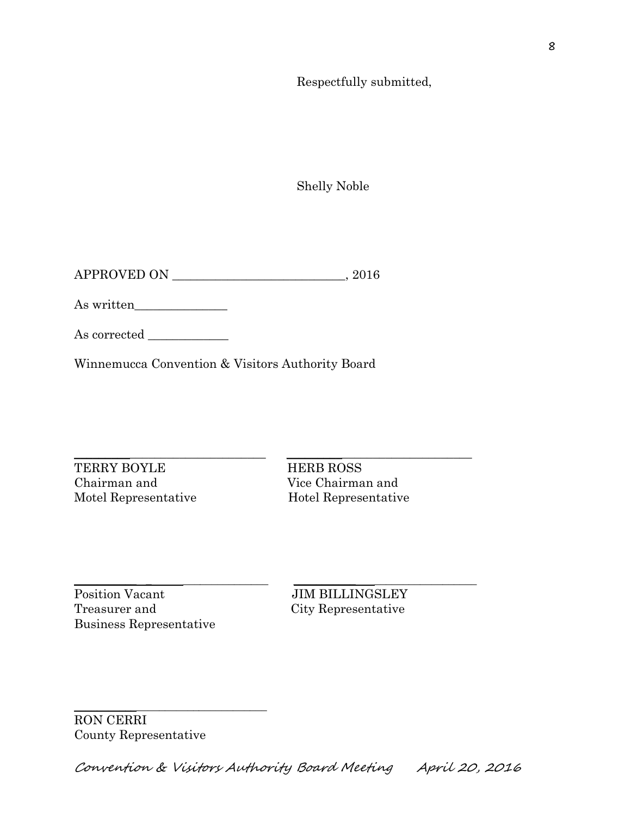Respectfully submitted,

Shelly Noble

APPROVED ON \_\_\_\_\_\_\_\_\_\_\_\_\_\_\_\_\_\_\_\_\_\_\_\_\_\_\_\_, 2016

As written\_\_\_\_\_\_\_\_\_\_\_\_\_\_\_

As corrected \_\_\_\_\_\_\_\_\_\_\_\_\_

Winnemucca Convention & Visitors Authority Board

 $\_$  ,  $\_$  ,  $\_$  ,  $\_$  ,  $\_$  ,  $\_$  ,  $\_$  ,  $\_$  ,  $\_$  ,  $\_$  ,  $\_$  ,  $\_$  ,  $\_$  ,  $\_$  ,  $\_$  ,  $\_$  ,  $\_$  ,  $\_$  ,  $\_$  ,  $\_$  ,  $\_$  ,  $\_$  ,  $\_$  ,  $\_$  ,  $\_$  ,  $\_$  ,  $\_$  ,  $\_$  ,  $\_$  ,  $\_$  ,  $\_$  ,  $\_$  ,  $\_$  ,  $\_$  ,  $\_$  ,  $\_$  ,  $\_$  , TERRY BOYLE HERB ROSS Chairman and Vice Chairman and Motel Representative Hotel Representative

Position Vacant JIM BILLINGSLEY Treasurer and City Representative Business Representative

\_\_\_\_\_\_\_\_\_\_\_ \_ \_\_\_\_\_\_\_\_\_\_\_\_\_\_\_ \_\_\_\_\_\_\_\_\_\_\_ \_\_\_\_\_\_\_\_\_\_\_\_\_\_\_\_\_\_

RON CERRI County Representative

\_\_\_\_\_\_\_\_\_\_\_\_\_\_\_\_\_\_\_\_\_\_\_\_\_\_\_\_\_\_\_\_\_\_

Convention & Visitors Authority Board Meeting April 20, 2016